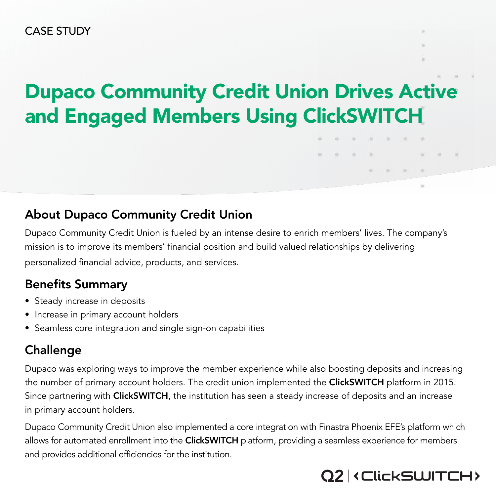#### About Dupaco Community Credit Union

Dupaco Community Credit Union is fueled by an intense desire to enrich members' lives. The company's mission is to improve its members' financial position and build valued relationships by delivering personalized financial advice, products, and services.

#### Benefits Summary

- Steady increase in deposits
- Increase in primary account holders
- Seamless core integration and single sign-on capabilities

# **Challenge**

the number of primary account holders. The credit union implemented the ClickSWITCH platform in 2015. Since partnering with ClickSWITCH, the institution has seen a steady increase of deposits and an increase in primary account holders.

Dupaco was exploring ways to improve the member experience while also boosting deposits and increasing

Dupaco Community Credit Union also implemented a core integration with Finastra Phoenix EFE's platform which allows for automated enrollment into the ClickSWITCH platform, providing a seamless experience for members and provides additional efficiencies for the institution.



# Dupaco Community Credit Union Drives Active and Engaged Members Using ClickSWITCH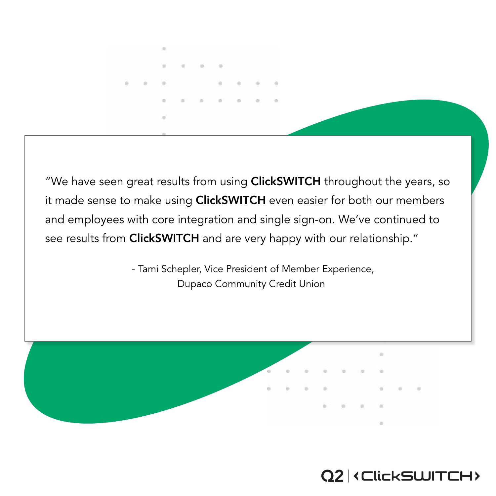# $\frac{1}{2}$

"We have seen great results from using ClickSWITCH throughout the years, so it made sense to make using ClickSWITCH even easier for both our members and employees with core integration and single sign-on. We've continued to see results from ClickSWITCH and are very happy with our relationship."

> - Tami Schepler, Vice President of Member Experience, Dupaco Community Credit Union





۰